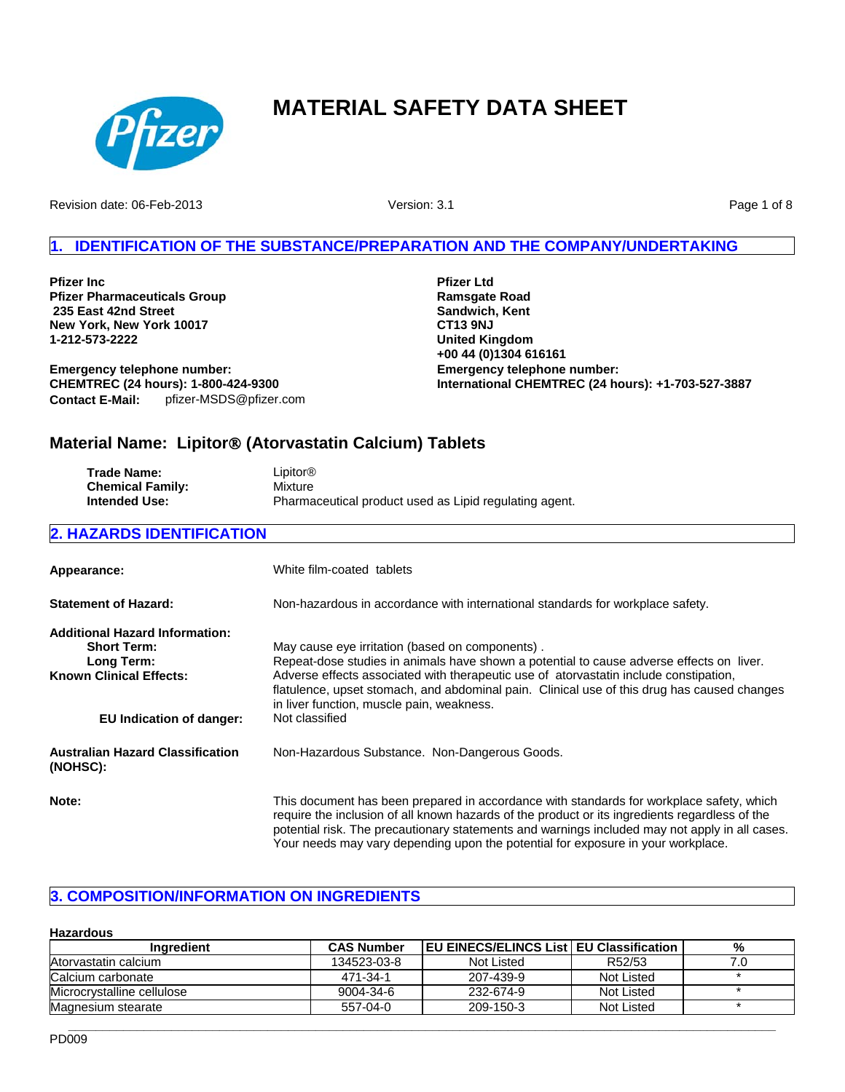

Revision date: 06-Feb-2013

Version: 3.1

Page 1 of 8

# **IDENTIFICATION OF THE SUBSTANCE/PREPARATION AND THE COMPANY/UNDERTAKING**

**Pfizer Inc Pfizer Pharmaceuticals Group 235 East 42nd Street New York, New York 10017 1-212-573-2222**

**Contact E-Mail:** pfizer-MSDS@pfizer.com **Emergency telephone number: CHEMTREC (24 hours): 1-800-424-9300**

**Emergency telephone number: International CHEMTREC (24 hours): +1-703-527-3887 Pfizer Ltd Ramsgate Road Sandwich, Kent CT13 9NJ United Kingdom +00 44 (0)1304 616161**

# **Material Name: Lipitor**® **(Atorvastatin Calcium) Tablets**

| Trade Name:             | Lipitor <sup>®</sup>                                   |
|-------------------------|--------------------------------------------------------|
| <b>Chemical Family:</b> | Mixture                                                |
| <b>Intended Use:</b>    | Pharmaceutical product used as Lipid regulating agent. |

# **2. HAZARDS IDENTIFICATION**

| Appearance:                                                                                                 | White film-coated tablets                                                                                                                                                                                                                                                                                                                                                        |
|-------------------------------------------------------------------------------------------------------------|----------------------------------------------------------------------------------------------------------------------------------------------------------------------------------------------------------------------------------------------------------------------------------------------------------------------------------------------------------------------------------|
| <b>Statement of Hazard:</b>                                                                                 | Non-hazardous in accordance with international standards for workplace safety.                                                                                                                                                                                                                                                                                                   |
| <b>Additional Hazard Information:</b><br><b>Short Term:</b><br>Long Term:<br><b>Known Clinical Effects:</b> | May cause eye irritation (based on components).<br>Repeat-dose studies in animals have shown a potential to cause adverse effects on liver.<br>Adverse effects associated with therapeutic use of atorvastatin include constipation,<br>flatulence, upset stomach, and abdominal pain. Clinical use of this drug has caused changes<br>in liver function, muscle pain, weakness. |
| EU Indication of danger:                                                                                    | Not classified                                                                                                                                                                                                                                                                                                                                                                   |
| <b>Australian Hazard Classification</b><br>(NOHSC):                                                         | Non-Hazardous Substance. Non-Dangerous Goods.                                                                                                                                                                                                                                                                                                                                    |
| Note:                                                                                                       | This document has been prepared in accordance with standards for workplace safety, which<br>require the inclusion of all known hazards of the product or its ingredients regardless of the<br>potential risk. The precautionary statements and warnings included may not apply in all cases.<br>Your needs may vary depending upon the potential for exposure in your workplace. |

# **3. COMPOSITION/INFORMATION ON INGREDIENTS**

# **Hazardous**

| Ingredient                 | <b>CAS Number</b> | <b>EU EINECS/ELINCS List   EU Classification '</b> |            | % |
|----------------------------|-------------------|----------------------------------------------------|------------|---|
| Atorvastatin calcium       | 134523-03-8       | Not Listed                                         | R52/53     |   |
| Calcium carbonate          | 471-34-1          | 207-439-9                                          | Not Listed |   |
| Microcrystalline cellulose | 9004-34-6         | 232-674-9                                          | Not Listed |   |
| Magnesium stearate         | 557-04-0          | 209-150-3                                          | Not Listed |   |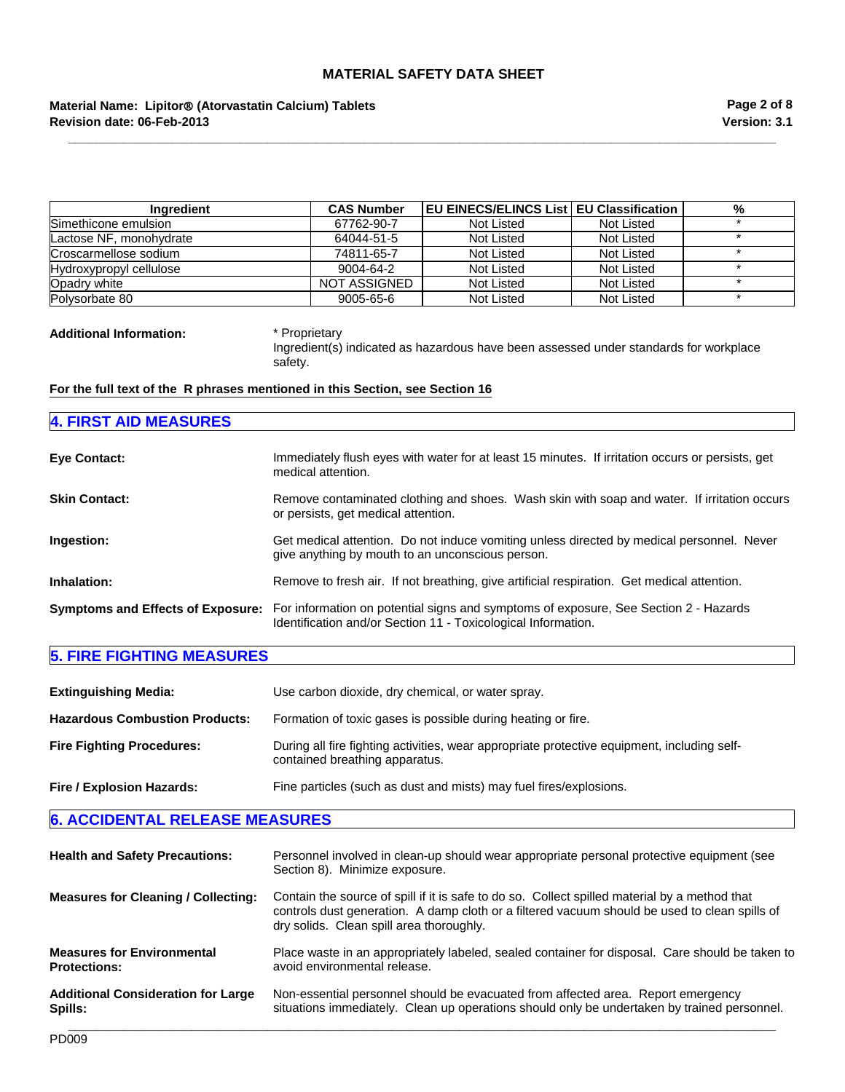# **Revision date: 06-Feb-2013 Material Name: Lipitor**® **(Atorvastatin Calcium) Tablets**

| <b>Ingredient</b>       | <b>CAS Number</b> | <b>EU EINECS/ELINCS List EU Classification</b> |            | % |
|-------------------------|-------------------|------------------------------------------------|------------|---|
| Simethicone emulsion    | 67762-90-7        | Not Listed                                     | Not Listed |   |
| Lactose NF, monohydrate | 64044-51-5        | Not Listed                                     | Not Listed |   |
| Croscarmellose sodium   | 74811-65-7        | Not Listed                                     | Not Listed |   |
| Hydroxypropyl cellulose | 9004-64-2         | Not Listed                                     | Not Listed |   |
| Opadry white            | NOT ASSIGNED      | Not Listed                                     | Not Listed |   |
| Polysorbate 80          | 9005-65-6         | Not Listed                                     | Not Listed |   |

**\_\_\_\_\_\_\_\_\_\_\_\_\_\_\_\_\_\_\_\_\_\_\_\_\_\_\_\_\_\_\_\_\_\_\_\_\_\_\_\_\_\_\_\_\_\_\_\_\_\_\_\_\_\_\_\_\_\_\_\_\_\_\_\_\_\_\_\_\_\_\_\_\_\_\_\_\_\_\_\_\_\_\_\_\_\_\_\_\_\_\_\_\_\_\_\_\_\_\_\_\_\_\_**

**Additional Information:** \* Proprietary

Ingredient(s) indicated as hazardous have been assessed under standards for workplace safety.

# **For the full text of the R phrases mentioned in this Section, see Section 16**

| <b>4. FIRST AID MEASURES</b> |                                                                                                                                                                                         |
|------------------------------|-----------------------------------------------------------------------------------------------------------------------------------------------------------------------------------------|
| <b>Eye Contact:</b>          | Immediately flush eyes with water for at least 15 minutes. If irritation occurs or persists, get<br>medical attention.                                                                  |
| <b>Skin Contact:</b>         | Remove contaminated clothing and shoes. Wash skin with soap and water. If irritation occurs<br>or persists, get medical attention.                                                      |
| Ingestion:                   | Get medical attention. Do not induce vomiting unless directed by medical personnel. Never<br>give anything by mouth to an unconscious person.                                           |
| Inhalation:                  | Remove to fresh air. If not breathing, give artificial respiration. Get medical attention.                                                                                              |
|                              | Symptoms and Effects of Exposure: For information on potential signs and symptoms of exposure, See Section 2 - Hazards<br>Identification and/or Section 11 - Toxicological Information. |

# **5. FIRE FIGHTING MEASURES**

| <b>Extinguishing Media:</b>           | Use carbon dioxide, dry chemical, or water spray.                                                                             |
|---------------------------------------|-------------------------------------------------------------------------------------------------------------------------------|
| <b>Hazardous Combustion Products:</b> | Formation of toxic gases is possible during heating or fire.                                                                  |
| <b>Fire Fighting Procedures:</b>      | During all fire fighting activities, wear appropriate protective equipment, including self-<br>contained breathing apparatus. |
| Fire / Explosion Hazards:             | Fine particles (such as dust and mists) may fuel fires/explosions.                                                            |

| <b>Health and Safety Precautions:</b>      | Personnel involved in clean-up should wear appropriate personal protective equipment (see<br>Section 8). Minimize exposure.                                                                                                                |  |  |
|--------------------------------------------|--------------------------------------------------------------------------------------------------------------------------------------------------------------------------------------------------------------------------------------------|--|--|
| <b>Measures for Cleaning / Collecting:</b> | Contain the source of spill if it is safe to do so. Collect spilled material by a method that<br>controls dust generation. A damp cloth or a filtered vacuum should be used to clean spills of<br>dry solids. Clean spill area thoroughly. |  |  |
| <b>Measures for Environmental</b>          | Place waste in an appropriately labeled, sealed container for disposal. Care should be taken to                                                                                                                                            |  |  |
| <b>Protections:</b>                        | avoid environmental release.                                                                                                                                                                                                               |  |  |
| <b>Additional Consideration for Large</b>  | Non-essential personnel should be evacuated from affected area. Report emergency                                                                                                                                                           |  |  |
| Spills:                                    | situations immediately. Clean up operations should only be undertaken by trained personnel.                                                                                                                                                |  |  |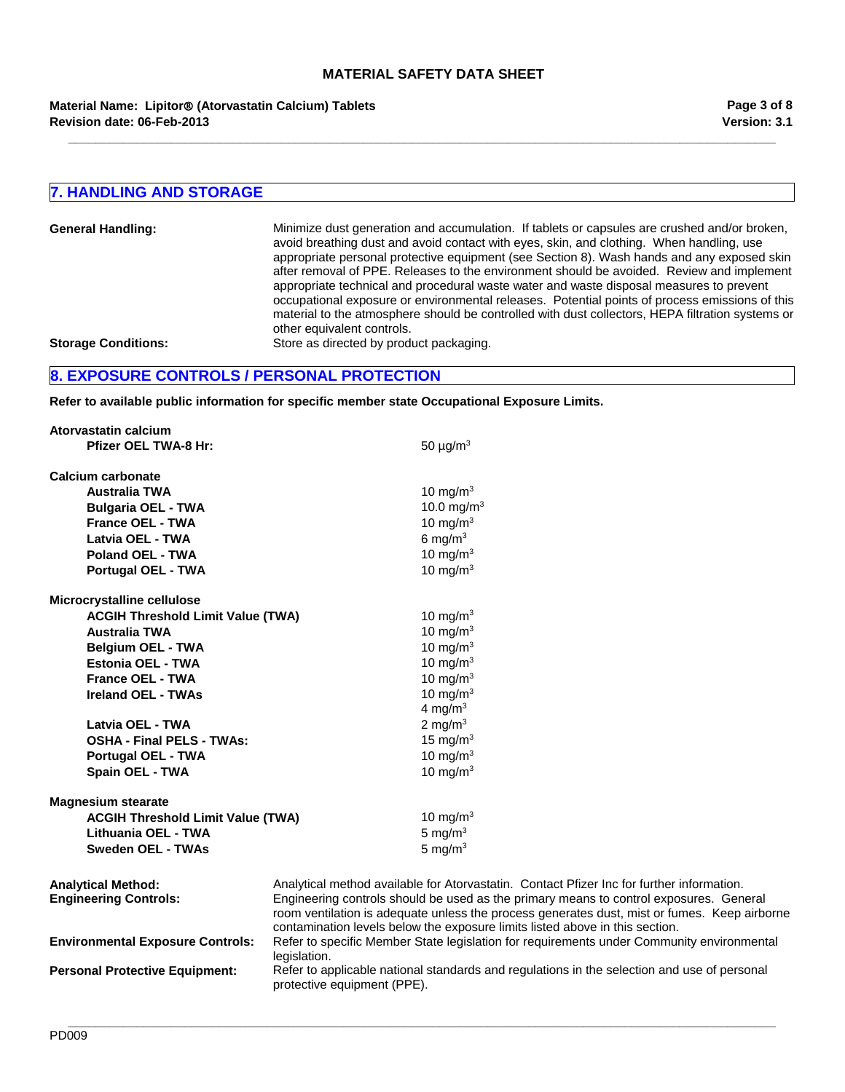**\_\_\_\_\_\_\_\_\_\_\_\_\_\_\_\_\_\_\_\_\_\_\_\_\_\_\_\_\_\_\_\_\_\_\_\_\_\_\_\_\_\_\_\_\_\_\_\_\_\_\_\_\_\_\_\_\_\_\_\_\_\_\_\_\_\_\_\_\_\_\_\_\_\_\_\_\_\_\_\_\_\_\_\_\_\_\_\_\_\_\_\_\_\_\_\_\_\_\_\_\_\_\_**

**Revision date: 06-Feb-2013 Material Name: Lipitor**® **(Atorvastatin Calcium) Tablets**

# **7. HANDLING AND STORAGE**

| <b>General Handling:</b>   | Minimize dust generation and accumulation. If tablets or capsules are crushed and/or broken,<br>avoid breathing dust and avoid contact with eyes, skin, and clothing. When handling, use<br>appropriate personal protective equipment (see Section 8). Wash hands and any exposed skin<br>after removal of PPE. Releases to the environment should be avoided. Review and implement<br>appropriate technical and procedural waste water and waste disposal measures to prevent<br>occupational exposure or environmental releases. Potential points of process emissions of this<br>material to the atmosphere should be controlled with dust collectors, HEPA filtration systems or<br>other equivalent controls. |
|----------------------------|--------------------------------------------------------------------------------------------------------------------------------------------------------------------------------------------------------------------------------------------------------------------------------------------------------------------------------------------------------------------------------------------------------------------------------------------------------------------------------------------------------------------------------------------------------------------------------------------------------------------------------------------------------------------------------------------------------------------|
| <b>Storage Conditions:</b> | Store as directed by product packaging.                                                                                                                                                                                                                                                                                                                                                                                                                                                                                                                                                                                                                                                                            |

# **8. EXPOSURE CONTROLS / PERSONAL PROTECTION**

**Refer to available public information for specific member state Occupational Exposure Limits.**

| Atorvastatin calcium                     |                                                                                              |
|------------------------------------------|----------------------------------------------------------------------------------------------|
| Pfizer OEL TWA-8 Hr:                     | 50 $\mu$ g/m <sup>3</sup>                                                                    |
| Calcium carbonate                        |                                                                                              |
| <b>Australia TWA</b>                     | 10 mg/m <sup>3</sup>                                                                         |
| <b>Bulgaria OEL - TWA</b>                | 10.0 mg/m <sup>3</sup>                                                                       |
| <b>France OEL - TWA</b>                  | 10 mg/m $3$                                                                                  |
| Latvia OEL - TWA                         | 6 mg/m $3$                                                                                   |
| <b>Poland OEL - TWA</b>                  | 10 mg/m $3$                                                                                  |
| Portugal OEL - TWA                       | 10 mg/m $3$                                                                                  |
| Microcrystalline cellulose               |                                                                                              |
| <b>ACGIH Threshold Limit Value (TWA)</b> | 10 mg/m $3$                                                                                  |
| <b>Australia TWA</b>                     | 10 mg/m $3$                                                                                  |
| <b>Belgium OEL - TWA</b>                 | 10 mg/m $3$                                                                                  |
| Estonia OEL - TWA                        | 10 mg/m $3$                                                                                  |
| <b>France OEL - TWA</b>                  | 10 mg/m $3$                                                                                  |
| <b>Ireland OEL - TWAs</b>                | 10 mg/m $3$                                                                                  |
|                                          | 4 mg/m $3$                                                                                   |
| Latvia OEL - TWA                         | 2 mg/m $3$                                                                                   |
| <b>OSHA - Final PELS - TWAs:</b>         | 15 mg/m $3$                                                                                  |
| <b>Portugal OEL - TWA</b>                | 10 mg/m $3$                                                                                  |
| Spain OEL - TWA                          | 10 mg/m $3$                                                                                  |
| <b>Magnesium stearate</b>                |                                                                                              |
| <b>ACGIH Threshold Limit Value (TWA)</b> | 10 mg/m $3$                                                                                  |
| Lithuania OEL - TWA                      | 5 mg/ $m3$                                                                                   |
| <b>Sweden OEL - TWAs</b>                 | 5 mg/m $3$                                                                                   |
| <b>Analytical Method:</b>                | Analytical method available for Atorvastatin. Contact Pfizer Inc for further information.    |
| <b>Engineering Controls:</b>             | Engineering controls should be used as the primary means to control exposures. General       |
|                                          | room ventilation is adequate unless the process generates dust, mist or fumes. Keep airborne |
|                                          | contamination levels below the exposure limits listed above in this section.                 |
| <b>Environmental Exposure Controls:</b>  | Refer to specific Member State legislation for requirements under Community environmental    |
|                                          | legislation.                                                                                 |

**Exports Export Community environmental** siation. Personal Protective Equipment: Refer to applicable national standards and regulations in the selection and use of personal protective equipment (PPE).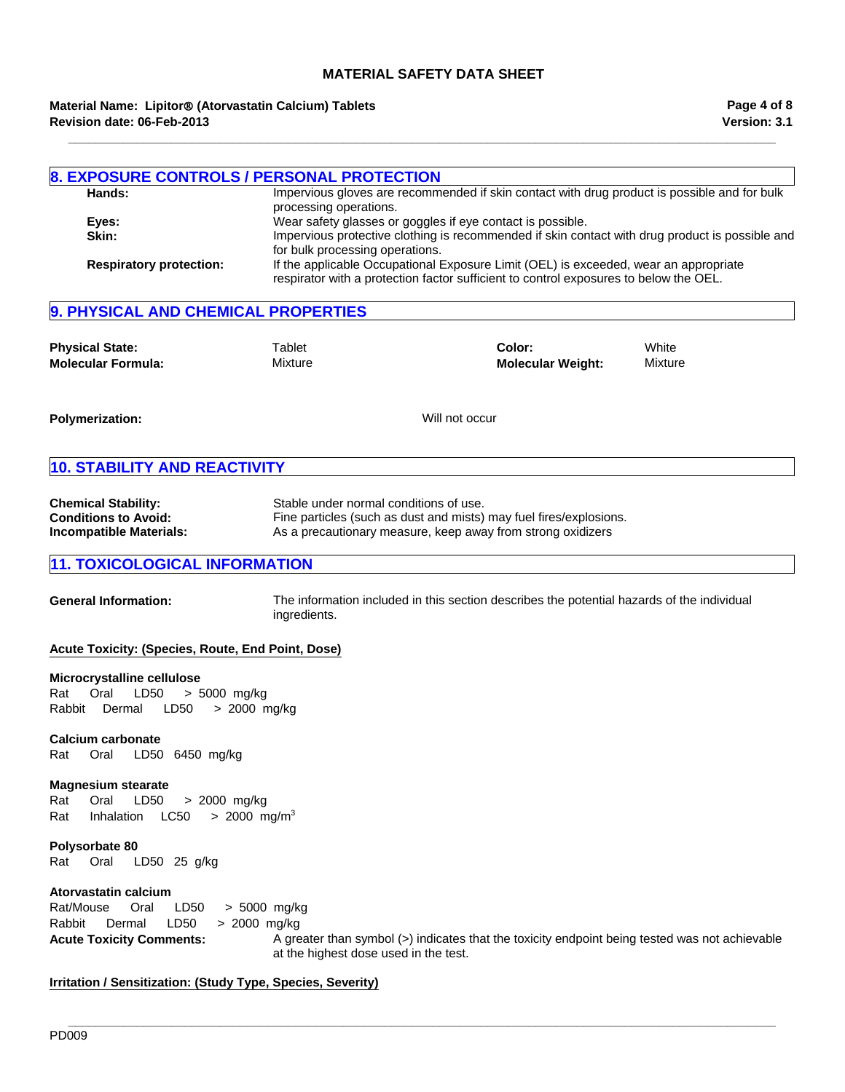**Material Name: Lipitor**® **(Atorvastatin Calcium) Tablets Revision date: 06-Feb-2013**

|                                | <b>8. EXPOSURE CONTROLS / PERSONAL PROTECTION</b>                                                                                                                             |
|--------------------------------|-------------------------------------------------------------------------------------------------------------------------------------------------------------------------------|
| Hands:                         | Impervious gloves are recommended if skin contact with drug product is possible and for bulk<br>processing operations.                                                        |
| Eves:                          | Wear safety glasses or goggles if eye contact is possible.                                                                                                                    |
| Skin:                          | Impervious protective clothing is recommended if skin contact with drug product is possible and<br>for bulk processing operations.                                            |
| <b>Respiratory protection:</b> | If the applicable Occupational Exposure Limit (OEL) is exceeded, wear an appropriate<br>respirator with a protection factor sufficient to control exposures to below the OEL. |

**\_\_\_\_\_\_\_\_\_\_\_\_\_\_\_\_\_\_\_\_\_\_\_\_\_\_\_\_\_\_\_\_\_\_\_\_\_\_\_\_\_\_\_\_\_\_\_\_\_\_\_\_\_\_\_\_\_\_\_\_\_\_\_\_\_\_\_\_\_\_\_\_\_\_\_\_\_\_\_\_\_\_\_\_\_\_\_\_\_\_\_\_\_\_\_\_\_\_\_\_\_\_\_**

# **9. PHYSICAL AND CHEMICAL PROPERTIES**

| <b>Physical State:</b>    | Tablet  | Color:                   | White   |
|---------------------------|---------|--------------------------|---------|
| <b>Molecular Formula:</b> | Mixture | <b>Molecular Weight:</b> | Mixture |

**Polymerization:** Will not occur

# **10. STABILITY AND REACTIVITY**

| <b>Chemical Stability:</b>  | Stable under normal conditions of use.                             |
|-----------------------------|--------------------------------------------------------------------|
| <b>Conditions to Avoid:</b> | Fine particles (such as dust and mists) may fuel fires/explosions. |
| Incompatible Materials:     | As a precautionary measure, keep away from strong oxidizers        |

# **11. TOXICOLOGICAL INFORMATION**

**General Information:** The information included in this section describes the potential hazards of the individual ingredients.

### **Acute Toxicity: (Species, Route, End Point, Dose)**

#### **Microcrystalline cellulose**

Rat Oral LD50 >5000mg/kg RabbitDermal LD50 >2000mg/kg

#### **Calcium carbonate**

Rat Oral LD50 6450mg/kg

#### **Magnesium stearate**

Rat Oral LD50 >2000mg/kg Rat InhalationLC50 >2000mg/m3

#### **Polysorbate 80** Rat Oral LD50 25g/kg

#### **Atorvastatin calcium**

**Acute Toxicity Comments:** A greater than symbol (>) indicates that the toxicity endpoint being tested was not achievable at the highest dose used in the test. Rat/Mouse Oral LD50 >5000mg/kg Rabbit Dermal LD50 >2000mg/kg

**\_\_\_\_\_\_\_\_\_\_\_\_\_\_\_\_\_\_\_\_\_\_\_\_\_\_\_\_\_\_\_\_\_\_\_\_\_\_\_\_\_\_\_\_\_\_\_\_\_\_\_\_\_\_\_\_\_\_\_\_\_\_\_\_\_\_\_\_\_\_\_\_\_\_\_\_\_\_\_\_\_\_\_\_\_\_\_\_\_\_\_\_\_\_\_\_\_\_\_\_\_\_\_**

#### **Irritation / Sensitization: (Study Type, Species, Severity)**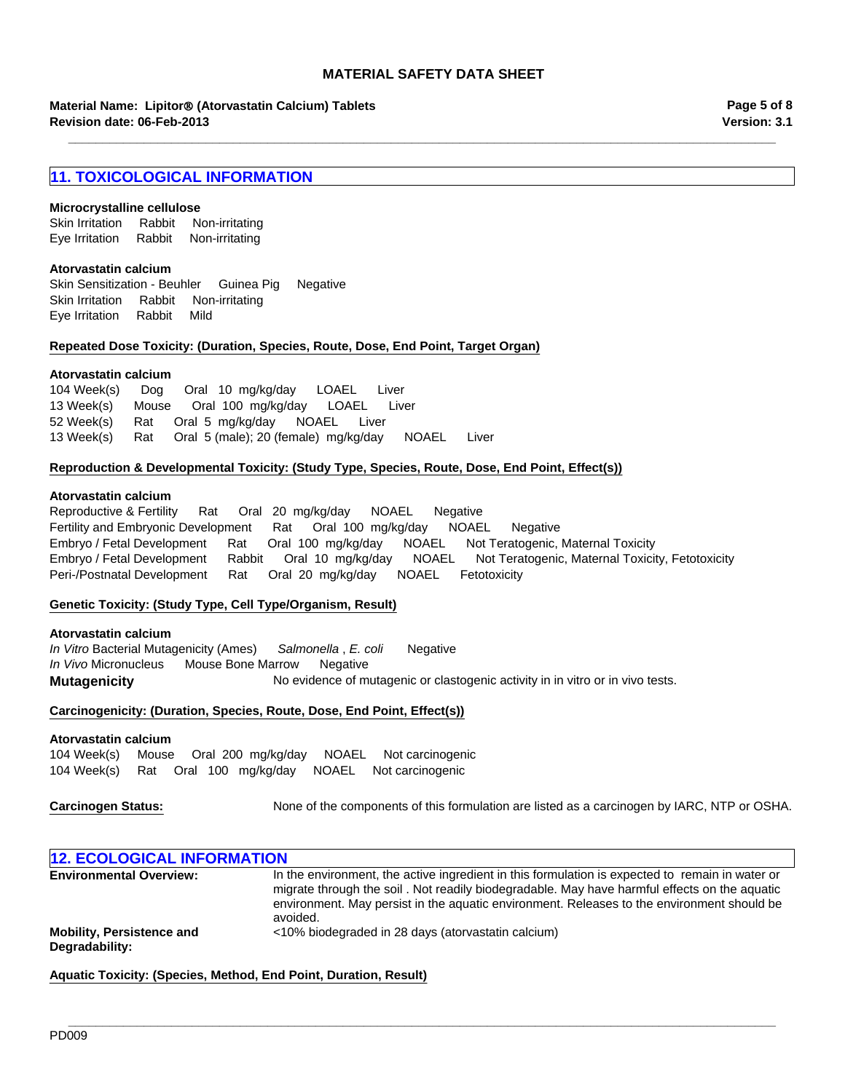**\_\_\_\_\_\_\_\_\_\_\_\_\_\_\_\_\_\_\_\_\_\_\_\_\_\_\_\_\_\_\_\_\_\_\_\_\_\_\_\_\_\_\_\_\_\_\_\_\_\_\_\_\_\_\_\_\_\_\_\_\_\_\_\_\_\_\_\_\_\_\_\_\_\_\_\_\_\_\_\_\_\_\_\_\_\_\_\_\_\_\_\_\_\_\_\_\_\_\_\_\_\_\_**

**Material Name: Lipitor**® **(Atorvastatin Calcium) Tablets Revision date: 06-Feb-2013**

**Version: 3.1 Page 5 of 8**

# **11. TOXICOLOGICAL INFORMATION**

#### **Microcrystalline cellulose**

Eye IrritationRabbitNon-irritating Skin IrritationRabbitNon-irritating

#### **Atorvastatin calcium**

Skin Sensitization - BeuhlerGuinea PigNegative Skin IrritationRabbitNon-irritating Eye IrritationRabbitMild

#### **Repeated Dose Toxicity: (Duration, Species, Route, Dose, End Point, Target Organ)**

#### **Atorvastatin calcium**

104 Week(s)DogOral10mg/kg/dayLOAELLiver 13 Week(s)MouseOral100mg/kg/dayLOAELLiver 52 Week(s)RatOral5mg/kg/dayNOAELLiver 13 Week(s)RatOral5 (male); 20 (female)mg/kg/dayNOAELLiver

#### **Reproduction & Developmental Toxicity: (Study Type, Species, Route, Dose, End Point, Effect(s))**

#### **Atorvastatin calcium**

Reproductive & FertilityRatOral20mg/kg/dayNOAELNegative Fertility and Embryonic DevelopmentRatOral100mg/kg/dayNOAELNegative Embryo / Fetal DevelopmentRatOral100mg/kg/dayNOAELNot Teratogenic, Maternal Toxicity Embryo / Fetal DevelopmentRabbitOral10mg/kg/dayNOAELNot Teratogenic, Maternal Toxicity, Fetotoxicity Peri-/Postnatal DevelopmentRatOral20mg/kg/dayNOAELFetotoxicity

#### **Genetic Toxicity: (Study Type, Cell Type/Organism, Result)**

#### **Atorvastatin calcium**

**Mutagenicity** No evidence of mutagenic or clastogenic activity in in vitro or in vivo tests. *In Vitro* Bacterial Mutagenicity (Ames)*Salmonella* , *E. coli* Negative *In Vivo* MicronucleusMouse Bone MarrowNegative

#### **Carcinogenicity: (Duration, Species, Route, Dose, End Point, Effect(s))**

#### **Atorvastatin calcium**

104 Week(s)MouseOral200mg/kg/dayNOAELNot carcinogenic 104 Week(s)RatOral100mg/kg/dayNOAELNot carcinogenic

**Carcinogen Status:** None of the components of this formulation are listed as a carcinogen by IARC, NTP or OSHA.

| <b>12. ECOLOGICAL INFORMATION</b>                  |                                                                                                                                                                                                                                                                                                           |  |
|----------------------------------------------------|-----------------------------------------------------------------------------------------------------------------------------------------------------------------------------------------------------------------------------------------------------------------------------------------------------------|--|
| <b>Environmental Overview:</b>                     | In the environment, the active ingredient in this formulation is expected to remain in water or<br>migrate through the soil. Not readily biodegradable. May have harmful effects on the aguatic<br>environment. May persist in the aquatic environment. Releases to the environment should be<br>avoided. |  |
| <b>Mobility, Persistence and</b><br>Degradability: | <10% biodegraded in 28 days (atorvastatin calcium)                                                                                                                                                                                                                                                        |  |

**\_\_\_\_\_\_\_\_\_\_\_\_\_\_\_\_\_\_\_\_\_\_\_\_\_\_\_\_\_\_\_\_\_\_\_\_\_\_\_\_\_\_\_\_\_\_\_\_\_\_\_\_\_\_\_\_\_\_\_\_\_\_\_\_\_\_\_\_\_\_\_\_\_\_\_\_\_\_\_\_\_\_\_\_\_\_\_\_\_\_\_\_\_\_\_\_\_\_\_\_\_\_\_**

**Aquatic Toxicity: (Species, Method, End Point, Duration, Result)**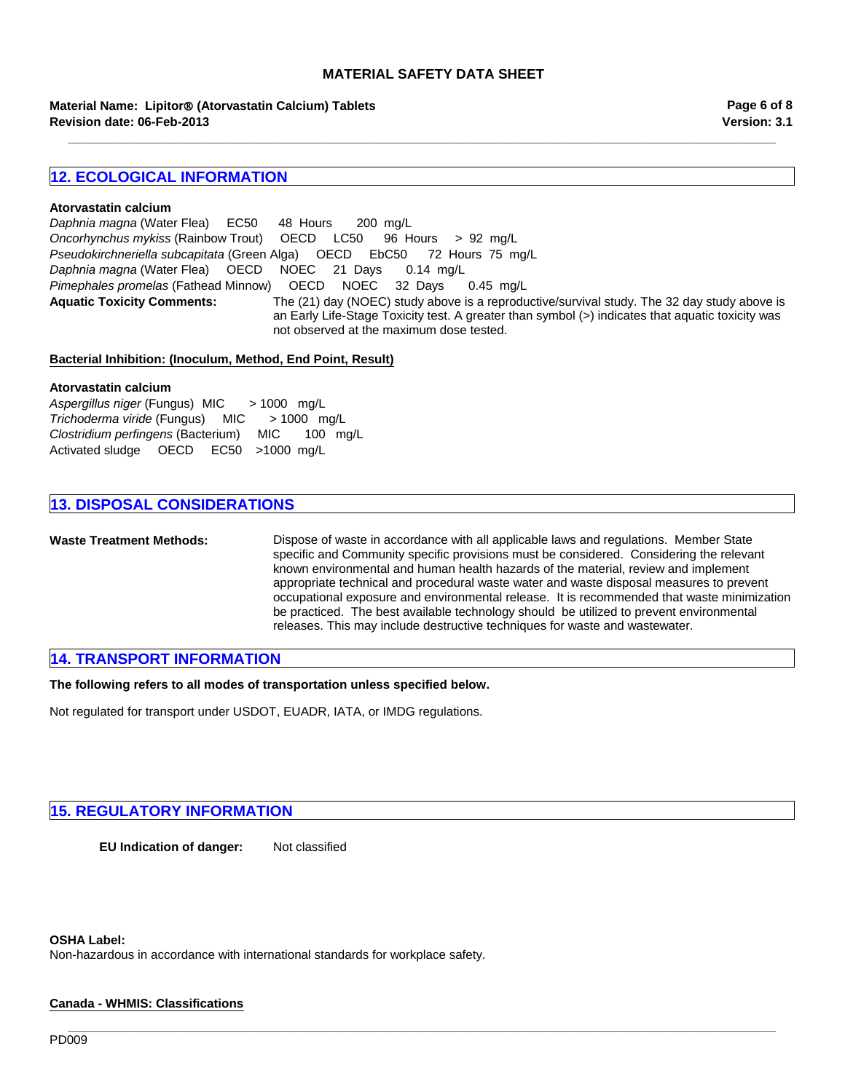**\_\_\_\_\_\_\_\_\_\_\_\_\_\_\_\_\_\_\_\_\_\_\_\_\_\_\_\_\_\_\_\_\_\_\_\_\_\_\_\_\_\_\_\_\_\_\_\_\_\_\_\_\_\_\_\_\_\_\_\_\_\_\_\_\_\_\_\_\_\_\_\_\_\_\_\_\_\_\_\_\_\_\_\_\_\_\_\_\_\_\_\_\_\_\_\_\_\_\_\_\_\_\_**

**Revision date: 06-Feb-2013 Material Name: Lipitor**® **(Atorvastatin Calcium) Tablets** **Version: 3.1 Page 6 of 8**

# **12. ECOLOGICAL INFORMATION**

#### **Atorvastatin calcium**

**Aquatic Toxicity Comments:** The (21) day (NOEC) study above is a reproductive/survival study. The 32 day study above is an Early Life-Stage Toxicity test. A greater than symbol (>) indicates that aquatic toxicity was not observed at the maximum dose tested. *Daphnia magna* (Water Flea)EC50 48Hours200mg/L *Oncorhynchus mykiss* (Rainbow Trout)OECDLC50 96Hours>92mg/L *Pseudokirchneriella subcapitata* (Green Alga)OECDEbC50 72Hours75mg/L *Daphnia magna* (Water Flea)OECDNOEC21Days0.14mg/L *Pimephales promelas* (Fathead Minnow)OECDNOEC32Days0.45mg/L

**\_\_\_\_\_\_\_\_\_\_\_\_\_\_\_\_\_\_\_\_\_\_\_\_\_\_\_\_\_\_\_\_\_\_\_\_\_\_\_\_\_\_\_\_\_\_\_\_\_\_\_\_\_\_\_\_\_\_\_\_\_\_\_\_\_\_\_\_\_\_\_\_\_\_\_\_\_\_\_\_\_\_\_\_\_\_\_\_\_\_\_\_\_\_\_\_\_\_\_\_\_\_\_**

#### **Bacterial Inhibition: (Inoculum, Method, End Point, Result)**

#### **Atorvastatin calcium**

*Aspergillus niger* (Fungus) MIC> 1000mg/L *Trichoderma viride* (Fungus)MIC> 1000mg/L *Clostridium perfingens* (Bacterium)MIC100mg/L Activated sludgeOECDEC50 >1000mg/L

# **13. DISPOSAL CONSIDERATIONS**

**Waste Treatment Methods:** Dispose of waste in accordance with all applicable laws and regulations. Member State specific and Community specific provisions must be considered. Considering the relevant known environmental and human health hazards of the material, review and implement appropriate technical and procedural waste water and waste disposal measures to prevent occupational exposure and environmental release. It is recommended that waste minimization be practiced. The best available technology should be utilized to prevent environmental releases. This may include destructive techniques for waste and wastewater.

# **14. TRANSPORT INFORMATION**

**The following refers to all modes of transportation unless specified below.**

Not regulated for transport under USDOT, EUADR, IATA, or IMDG regulations.

# **15. REGULATORY INFORMATION**

**EU Indication of danger:** Not classified

#### **OSHA Label:**

Non-hazardous in accordance with international standards for workplace safety.

#### **Canada - WHMIS: Classifications**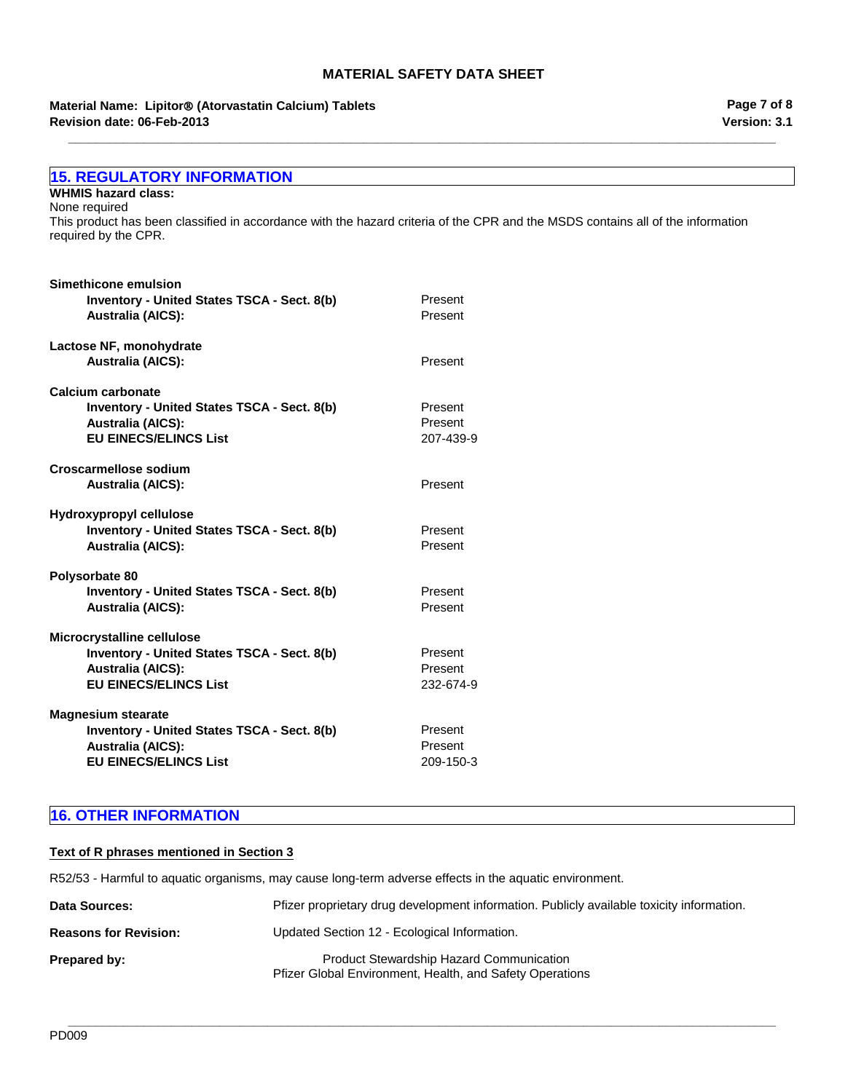**\_\_\_\_\_\_\_\_\_\_\_\_\_\_\_\_\_\_\_\_\_\_\_\_\_\_\_\_\_\_\_\_\_\_\_\_\_\_\_\_\_\_\_\_\_\_\_\_\_\_\_\_\_\_\_\_\_\_\_\_\_\_\_\_\_\_\_\_\_\_\_\_\_\_\_\_\_\_\_\_\_\_\_\_\_\_\_\_\_\_\_\_\_\_\_\_\_\_\_\_\_\_\_**

# **Revision date: 06-Feb-2013 Material Name: Lipitor**® **(Atorvastatin Calcium) Tablets**

**Version: 3.1 Page 7 of 8**

| <b>15. REGULATORY INFORMATION</b>                                                                                                                       |           |
|---------------------------------------------------------------------------------------------------------------------------------------------------------|-----------|
| <b>WHMIS hazard class:</b>                                                                                                                              |           |
| None required                                                                                                                                           |           |
| This product has been classified in accordance with the hazard criteria of the CPR and the MSDS contains all of the information<br>required by the CPR. |           |
| Simethicone emulsion                                                                                                                                    |           |
| Inventory - United States TSCA - Sect. 8(b)                                                                                                             | Present   |
| <b>Australia (AICS):</b>                                                                                                                                | Present   |
| Lactose NF, monohydrate                                                                                                                                 |           |
| <b>Australia (AICS):</b>                                                                                                                                | Present   |
| Calcium carbonate                                                                                                                                       |           |
| Inventory - United States TSCA - Sect. 8(b)                                                                                                             | Present   |
| <b>Australia (AICS):</b>                                                                                                                                | Present   |
| <b>EU EINECS/ELINCS List</b>                                                                                                                            | 207-439-9 |
| <b>Croscarmellose sodium</b>                                                                                                                            |           |
| <b>Australia (AICS):</b>                                                                                                                                | Present   |
| Hydroxypropyl cellulose                                                                                                                                 |           |
| Inventory - United States TSCA - Sect. 8(b)                                                                                                             | Present   |
| <b>Australia (AICS):</b>                                                                                                                                | Present   |
| Polysorbate 80                                                                                                                                          |           |
| Inventory - United States TSCA - Sect. 8(b)                                                                                                             | Present   |
| <b>Australia (AICS):</b>                                                                                                                                | Present   |
| Microcrystalline cellulose                                                                                                                              |           |
| Inventory - United States TSCA - Sect. 8(b)                                                                                                             | Present   |
| <b>Australia (AICS):</b>                                                                                                                                | Present   |
| <b>EU EINECS/ELINCS List</b>                                                                                                                            | 232-674-9 |
| <b>Magnesium stearate</b>                                                                                                                               |           |
| Inventory - United States TSCA - Sect. 8(b)                                                                                                             | Present   |
| <b>Australia (AICS):</b>                                                                                                                                | Present   |
| <b>EU EINECS/ELINCS List</b>                                                                                                                            | 209-150-3 |
|                                                                                                                                                         |           |

# **16. OTHER INFORMATION**

# **Text of R phrases mentioned in Section 3**

R52/53 - Harmful to aquatic organisms, may cause long-term adverse effects in the aquatic environment.

| <b>Data Sources:</b>         | Pfizer proprietary drug development information. Publicly available toxicity information.                   |
|------------------------------|-------------------------------------------------------------------------------------------------------------|
| <b>Reasons for Revision:</b> | Updated Section 12 - Ecological Information.                                                                |
| Prepared by:                 | <b>Product Stewardship Hazard Communication</b><br>Pfizer Global Environment, Health, and Safety Operations |